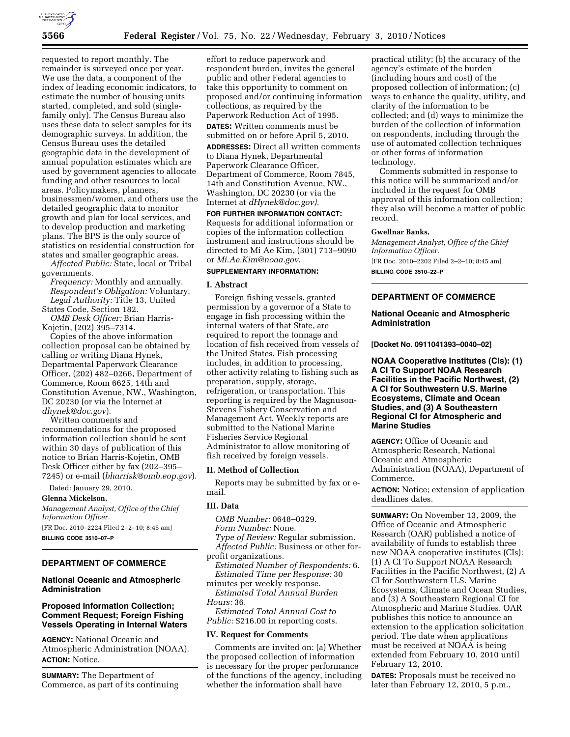

requested to report monthly. The remainder is surveyed once per year. We use the data, a component of the index of leading economic indicators, to estimate the number of housing units started, completed, and sold (singlefamily only). The Census Bureau also uses these data to select samples for its demographic surveys. In addition, the Census Bureau uses the detailed geographic data in the development of annual population estimates which are used by government agencies to allocate funding and other resources to local areas. Policymakers, planners, businessmen/women, and others use the detailed geographic data to monitor growth and plan for local services, and to develop production and marketing plans. The BPS is the only source of statistics on residential construction for states and smaller geographic areas.

*Affected Public:* State, local or Tribal governments.

*Frequency:* Monthly and annually. *Respondent's Obligation:* Voluntary. *Legal Authority:* Title 13, United States Code, Section 182.

*OMB Desk Officer:* Brian Harris-Kojetin, (202) 395–7314.

Copies of the above information collection proposal can be obtained by calling or writing Diana Hynek, Departmental Paperwork Clearance Officer, (202) 482–0266, Department of Commerce, Room 6625, 14th and Constitution Avenue, NW., Washington, DC 20230 (or via the Internet at *dhynek@doc.gov*).

Written comments and recommendations for the proposed information collection should be sent within 30 days of publication of this notice to Brian Harris-Kojetin, OMB Desk Officer either by fax (202–395– 7245) or e-mail (*bharrisk@omb.eop.gov*).

Dated: January 29, 2010.

#### **Glenna Mickelson,**

*Management Analyst, Office of the Chief Information Officer.* 

[FR Doc. 2010–2224 Filed 2–2–10; 8:45 am] **BILLING CODE 3510–07–P** 

# **DEPARTMENT OF COMMERCE**

## **National Oceanic and Atmospheric Administration**

## **Proposed Information Collection; Comment Request; Foreign Fishing Vessels Operating in Internal Waters**

**AGENCY:** National Oceanic and Atmospheric Administration (NOAA). **ACTION:** Notice.

**SUMMARY:** The Department of Commerce, as part of its continuing

effort to reduce paperwork and respondent burden, invites the general public and other Federal agencies to take this opportunity to comment on proposed and/or continuing information collections, as required by the Paperwork Reduction Act of 1995. **DATES:** Written comments must be submitted on or before April 5, 2010.

**ADDRESSES:** Direct all written comments to Diana Hynek, Departmental Paperwork Clearance Officer, Department of Commerce, Room 7845, 14th and Constitution Avenue, NW., Washington, DC 20230 (or via the Internet at *dHynek@doc.gov).* 

**FOR FURTHER INFORMATION CONTACT:**  Requests for additional information or copies of the information collection instrument and instructions should be directed to Mi Ae Kim, (301) 713–9090 or *Mi.Ae.Kim@noaa.gov*.

# **SUPPLEMENTARY INFORMATION:**

### **I. Abstract**

Foreign fishing vessels, granted permission by a governor of a State to engage in fish processing within the internal waters of that State, are required to report the tonnage and location of fish received from vessels of the United States. Fish processing includes, in addition to processing, other activity relating to fishing such as preparation, supply, storage, refrigeration, or transportation. This reporting is required by the Magnuson-Stevens Fishery Conservation and Management Act. Weekly reports are submitted to the National Marine Fisheries Service Regional Administrator to allow monitoring of fish received by foreign vessels.

## **II. Method of Collection**

Reports may be submitted by fax or email.

# **III. Data**

*OMB Number:* 0648–0329.

*Form Number:* None. *Type of Review:* Regular submission. *Affected Public:* Business or other for-

profit organizations. *Estimated Number of Respondents:* 6. *Estimated Time per Response:* 30

minutes per weekly response. *Estimated Total Annual Burden Hours:* 36.

*Estimated Total Annual Cost to Public:* \$216.00 in reporting costs.

#### **IV. Request for Comments**

Comments are invited on: (a) Whether the proposed collection of information is necessary for the proper performance of the functions of the agency, including whether the information shall have

practical utility; (b) the accuracy of the agency's estimate of the burden (including hours and cost) of the proposed collection of information; (c) ways to enhance the quality, utility, and clarity of the information to be collected; and (d) ways to minimize the burden of the collection of information on respondents, including through the use of automated collection techniques or other forms of information technology.

Comments submitted in response to this notice will be summarized and/or included in the request for OMB approval of this information collection; they also will become a matter of public record.

#### **Gwellnar Banks,**

*Management Analyst, Office of the Chief Information Officer.*  [FR Doc. 2010–2202 Filed 2–2–10; 8:45 am] **BILLING CODE 3510–22–P** 

# **DEPARTMENT OF COMMERCE**

## **National Oceanic and Atmospheric Administration**

**[Docket No. 0911041393–0040–02]** 

**NOAA Cooperative Institutes (CIs): (1) A CI To Support NOAA Research Facilities in the Pacific Northwest, (2) A CI for Southwestern U.S. Marine Ecosystems, Climate and Ocean Studies, and (3) A Southeastern Regional CI for Atmospheric and Marine Studies** 

**AGENCY:** Office of Oceanic and Atmospheric Research, National Oceanic and Atmospheric Administration (NOAA), Department of Commerce.

**ACTION:** Notice; extension of application deadlines dates.

**SUMMARY:** On November 13, 2009, the Office of Oceanic and Atmospheric Research (OAR) published a notice of availability of funds to establish three new NOAA cooperative institutes (CIs): (1) A CI To Support NOAA Research Facilities in the Pacific Northwest, (2) A CI for Southwestern U.S. Marine Ecosystems, Climate and Ocean Studies, and (3) A Southeastern Regional CI for Atmospheric and Marine Studies. OAR publishes this notice to announce an extension to the application solicitation period. The date when applications must be received at NOAA is being extended from February 10, 2010 until February 12, 2010.

**DATES:** Proposals must be received no later than February 12, 2010, 5 p.m.,